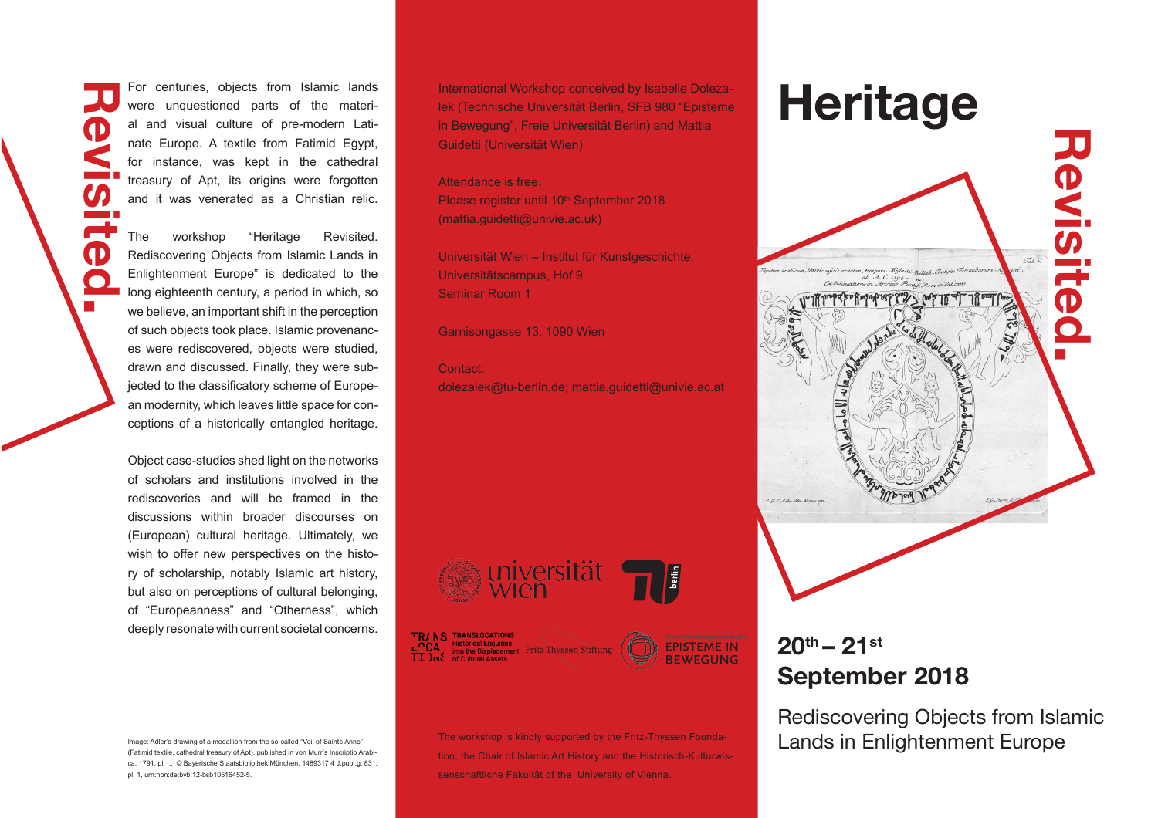were unquestioned parts of the material and visual culture of pre-modern Latinate Europe. A textile from Fatimid Egypt, for instance, was kept in the cathedral treasury of Apt, its origins were forgotten and it was venerated as a Christian relic. **Revisited.** 

The workshop "Heritage Revisited. Rediscovering Objects from Islamic Lands in Enlightenment Europe" is dedicated to the long eighteenth century, a period in which, so we believe, an important shift in the perception of such objects took place. Islamic provenances were rediscovered, objects were studied, drawn and discussed. Finally, they were subjected to the classificatory scheme of European modernity, which leaves little space for conceptions of a historically entangled heritage.

Œ

Object case-studies shed light on the networks of scholars and institutions involved in the rediscoveries and will be framed in the discussions within broader discourses on (European) cultural heritage. Ultimately, we wish to offer new perspectives on the history of scholarship, notably Islamic art history, but also on perceptions of cultural belonging, of "Europeanness" and "Otherness", which deeply resonate with current societal concerns.

Image: Adler's drawing of a medallion from the so-called "Veil of Sainte Anne" (Fatimid textile, cathedral treasury of Apt), published in von Murr's Inscriptio Arabica, 1791, pl. I.. © Bayerische Staatsbibliothek München, 1489317 4 J.publ.g. 831, pl. 1, urn:nbn:de:bvb:12-bsb10516452-5.

For centuries, objects from Islamic lands<br>were unquestioned parts of the materi-<br>else (Technische Universität Berlin, SFB 980 "Episteme International Workshop conceived by Isabelle Dolezalek (Technische Universität Berlin, SFB 980 "Episteme in Bewegung", Freie Universität Berlin) and Mattia Guidetti (Universität Wien)

#### Attendance is free.

Please register until 10<sup>th</sup> September 2018 (mattia.guidetti@univie.ac.uk)

Universität Wien – Institut für Kunstgeschichte, Universitätscampus, Hof 9 Seminar Room 1

Garnisongasse 13, 1090 Wien

# Contact:

dolezalek@tu-berlin.de; mattia.guidetti@univie.ac.at









tion, the Chair of Islamic Art History and the Historisch-Kulturwissenschaftliche Fakultät of the University of Vienna.



# **20th – 21st September 2018**

Rediscovering Objects from Islamic The workshop is kindly supported by the Fritz-Thyssen Founda-**Lands in Enlightenment Europe**